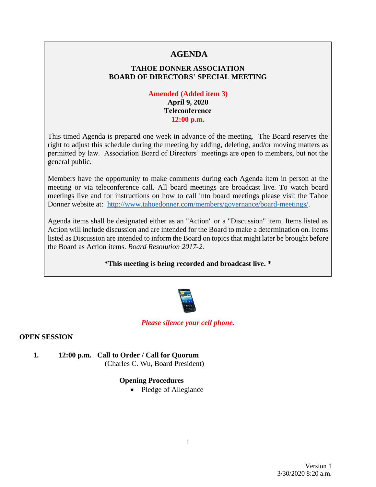# **AGENDA**

# **TAHOE DONNER ASSOCIATION BOARD OF DIRECTORS' SPECIAL MEETING**

### **Amended (Added item 3) April 9, 2020 Teleconference 12:00 p.m.**

This timed Agenda is prepared one week in advance of the meeting. The Board reserves the right to adjust this schedule during the meeting by adding, deleting, and/or moving matters as permitted by law. Association Board of Directors' meetings are open to members, but not the general public.

Members have the opportunity to make comments during each Agenda item in person at the meeting or via teleconference call. All board meetings are broadcast live. To watch board meetings live and for instructions on how to call into board meetings please visit the Tahoe Donner website at: [http://www.tahoedonner.com/members/governance/board-meetings/.](http://www.tahoedonner.com/members/governance/board-meetings/)

Agenda items shall be designated either as an "Action" or a "Discussion" item. Items listed as Action will include discussion and are intended for the Board to make a determination on. Items listed as Discussion are intended to inform the Board on topics that might later be brought before the Board as Action items. *Board Resolution 2017-2.*

**\*This meeting is being recorded and broadcast live. \***



#### *Please silence your cell phone.*

#### **OPEN SESSION**

- **1. 12:00 p.m. Call to Order / Call for Quorum**
	- (Charles C. Wu, Board President)

#### **Opening Procedures**

• Pledge of Allegiance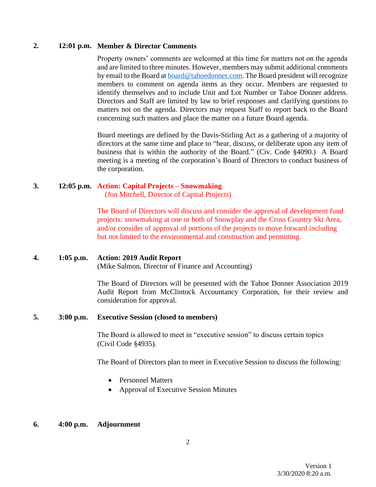### **2. 12:01 p.m. Member & Director Comments**

Property owners' comments are welcomed at this time for matters not on the agenda and are limited to three minutes. However, members may submit additional comments by email to the Board at [board@tahoedonner.com.](mailto:board@tahoedonner.com) The Board president will recognize members to comment on agenda items as they occur. Members are requested to identify themselves and to include Unit and Lot Number or Tahoe Donner address. Directors and Staff are limited by law to brief responses and clarifying questions to matters not on the agenda. Directors may request Staff to report back to the Board concerning such matters and place the matter on a future Board agenda.

Board meetings are defined by the Davis-Stirling Act as a gathering of a majority of directors at the same time and place to "hear, discuss, or deliberate upon any item of business that is within the authority of the Board." (Civ. Code §4090.) A Board meeting is a meeting of the corporation's Board of Directors to conduct business of the corporation.

# **3. 12:05 p.m. Action: Capital Projects – Snowmaking**

(Jon Mitchell, Director of Capital Projects)

The Board of Directors will discuss and consider the approval of development fund projects: snowmaking at one or both of Snowplay and the Cross Country Ski Area, and/or consider of approval of portions of the projects to move forward including but not limited to the environmental and construction and permitting.

#### **4. 1:05 p.m. Action: 2019 Audit Report**

(Mike Salmon, Director of Finance and Accounting)

The Board of Directors will be presented with the Tahoe Donner Association 2019 Audit Report from McClintock Accountancy Corporation, for their review and consideration for approval.

#### **5. 3:00 p.m. Executive Session (closed to members)**

The Board is allowed to meet in "executive session" to discuss certain topics (Civil Code §4935).

The Board of Directors plan to meet in Executive Session to discuss the following:

- Personnel Matters
- Approval of Executive Session Minutes

# **6. 4:00 p.m. Adjournment**